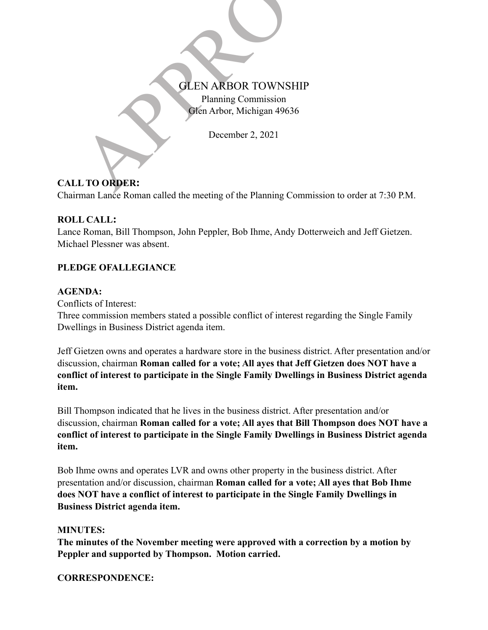# CLEN ARBOR TOWNSHIP<br>Planning Commission<br>Ofen Arbor, Michigan 49636<br>December 2, 2021<br>LTO ORDER: Planning Commission

Glen Arbor, Michigan 49636

December 2, 2021

# **CALL TO ORDER:**

Chairman Lance Roman called the meeting of the Planning Commission to order at 7:30 P.M.

# **ROLL CALL:**

Lance Roman, Bill Thompson, John Peppler, Bob Ihme, Andy Dotterweich and Jeff Gietzen. Michael Plessner was absent.

# **PLEDGE OFALLEGIANCE**

## **AGENDA:**

Conflicts of Interest:

Three commission members stated a possible conflict of interest regarding the Single Family Dwellings in Business District agenda item.

Jeff Gietzen owns and operates a hardware store in the business district. After presentation and/or discussion, chairman **Roman called for a vote; All ayes that Jeff Gietzen does NOT have a conflict of interest to participate in the Single Family Dwellings in Business District agenda item.**

Bill Thompson indicated that he lives in the business district. After presentation and/or discussion, chairman **Roman called for a vote; All ayes that Bill Thompson does NOT have a conflict of interest to participate in the Single Family Dwellings in Business District agenda item.**

Bob Ihme owns and operates LVR and owns other property in the business district. After presentation and/or discussion, chairman **Roman called for a vote; All ayes that Bob Ihme does NOT have a conflict of interest to participate in the Single Family Dwellings in Business District agenda item.**

## **MINUTES:**

**The minutes of the November meeting were approved with a correction by a motion by Peppler and supported by Thompson. Motion carried.**

**CORRESPONDENCE:**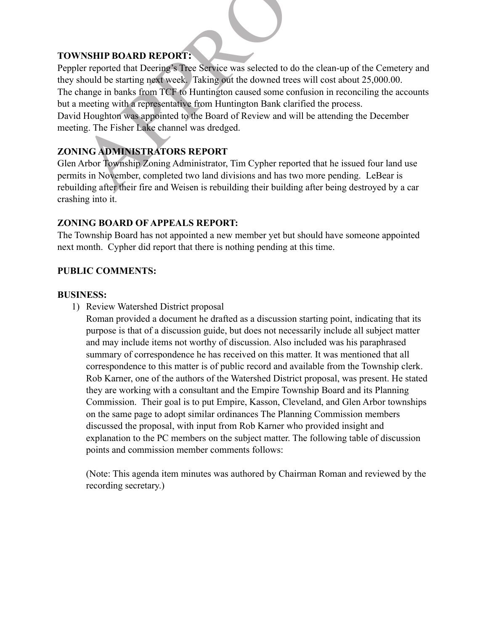## **TOWNSHIP BOARD REPORT:**

VNSHIP BOARD REPORT:<br>
Server that Deering's Tree Service was selected to do the clean-up of the Cemeter<br>
eshould be starting next week. Taking out the downed trees will cost about 25,000.00.<br>
change in banks from TCF to Hu Peppler reported that Deering's Tree Service was selected to do the clean-up of the Cemetery and they should be starting next week. Taking out the downed trees will cost about 25,000.00. The change in banks from TCF to Huntington caused some confusion in reconciling the accounts but a meeting with a representative from Huntington Bank clarified the process. David Houghton was appointed to the Board of Review and will be attending the December meeting. The Fisher Lake channel was dredged.

# **ZONING ADMINISTRATORS REPORT**

Glen Arbor Township Zoning Administrator, Tim Cypher reported that he issued four land use permits in November, completed two land divisions and has two more pending. LeBear is rebuilding after their fire and Weisen is rebuilding their building after being destroyed by a car crashing into it.

## **ZONING BOARD OF APPEALS REPORT:**

The Township Board has not appointed a new member yet but should have someone appointed next month. Cypher did report that there is nothing pending at this time.

## **PUBLIC COMMENTS:**

#### **BUSINESS:**

1) Review Watershed District proposal

Roman provided a document he drafted as a discussion starting point, indicating that its purpose is that of a discussion guide, but does not necessarily include all subject matter and may include items not worthy of discussion. Also included was his paraphrased summary of correspondence he has received on this matter. It was mentioned that all correspondence to this matter is of public record and available from the Township clerk. Rob Karner, one of the authors of the Watershed District proposal, was present. He stated they are working with a consultant and the Empire Township Board and its Planning Commission. Their goal is to put Empire, Kasson, Cleveland, and Glen Arbor townships on the same page to adopt similar ordinances The Planning Commission members discussed the proposal, with input from Rob Karner who provided insight and explanation to the PC members on the subject matter. The following table of discussion points and commission member comments follows:

(Note: This agenda item minutes was authored by Chairman Roman and reviewed by the recording secretary.)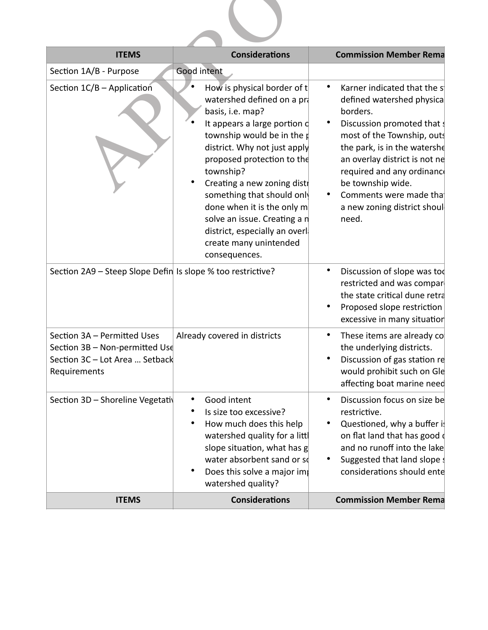| <b>ITEMS</b>                                                                               | <b>Considerations</b>                                                                                                                                                                                                                                                                                                                                                                                                                                     | <b>Commission Member Rema</b>                                                                                                                                                                                                                                                                                                                |  |  |
|--------------------------------------------------------------------------------------------|-----------------------------------------------------------------------------------------------------------------------------------------------------------------------------------------------------------------------------------------------------------------------------------------------------------------------------------------------------------------------------------------------------------------------------------------------------------|----------------------------------------------------------------------------------------------------------------------------------------------------------------------------------------------------------------------------------------------------------------------------------------------------------------------------------------------|--|--|
| Section 1A/B - Purpose<br>Section 1C/B - Application                                       | <b>Good intent</b><br>How is physical border of t<br>watershed defined on a pra<br>basis, i.e. map?<br>It appears a large portion d<br>township would be in the $\beta$<br>district. Why not just apply<br>proposed protection to the<br>township?<br>Creating a new zoning distr<br>something that should only<br>done when it is the only m<br>solve an issue. Creating a n<br>district, especially an overl<br>create many unintended<br>consequences. | Karner indicated that the s<br>$\bullet$<br>defined watershed physica<br>borders.<br>Discussion promoted that<br>٠<br>most of the Township, outs<br>the park, is in the watershe<br>an overlay district is not ne<br>required and any ordinance<br>be township wide.<br>Comments were made that<br>٠<br>a new zoning district shoul<br>need. |  |  |
| Section 2A9 - Steep Slope Defin Is slope % too restrictive?<br>Section 3A - Permitted Uses | Already covered in districts                                                                                                                                                                                                                                                                                                                                                                                                                              | Discussion of slope was too<br>٠<br>restricted and was compar<br>the state critical dune retra<br>Proposed slope restriction<br>٠<br>excessive in many situation<br>These items are already co<br>$\bullet$                                                                                                                                  |  |  |
| Section 3B - Non-permitted Use<br>Section 3C - Lot Area  Setback<br>Requirements           |                                                                                                                                                                                                                                                                                                                                                                                                                                                           | the underlying districts.<br>Discussion of gas station re<br>٠<br>would prohibit such on Gle<br>affecting boat marine need                                                                                                                                                                                                                   |  |  |
| Section 3D - Shoreline Vegetativ                                                           | Good intent<br>Is size too excessive?<br>How much does this help<br>watershed quality for a littl<br>slope situation, what has g<br>water absorbent sand or so<br>Does this solve a major imp<br>watershed quality?                                                                                                                                                                                                                                       | Discussion focus on size be<br>٠<br>restrictive.<br>Questioned, why a buffer is<br>٠<br>on flat land that has good<br>and no runoff into the lake<br>Suggested that land slope s<br>$\bullet$<br>considerations should ente                                                                                                                  |  |  |
| <b>ITEMS</b>                                                                               | <b>Considerations</b>                                                                                                                                                                                                                                                                                                                                                                                                                                     | <b>Commission Member Rema</b>                                                                                                                                                                                                                                                                                                                |  |  |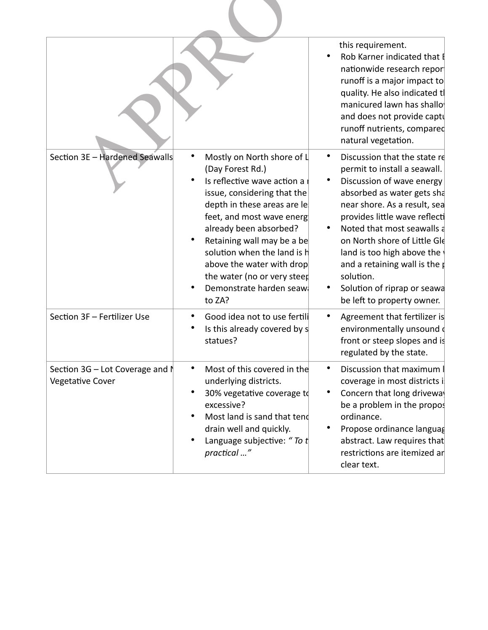|                                                                 |                                                                                                                                                                                                                                                                                                                                                                           | this requirement.<br>Rob Karner indicated that I<br>nationwide research repor<br>runoff is a major impact to<br>quality. He also indicated tl<br>manicured lawn has shallo<br>and does not provide captu<br>runoff nutrients, compared<br>natural vegetation.                                                                                                                                        |
|-----------------------------------------------------------------|---------------------------------------------------------------------------------------------------------------------------------------------------------------------------------------------------------------------------------------------------------------------------------------------------------------------------------------------------------------------------|------------------------------------------------------------------------------------------------------------------------------------------------------------------------------------------------------------------------------------------------------------------------------------------------------------------------------------------------------------------------------------------------------|
| Section 3E - Hardened Seawalls                                  | Mostly on North shore of L<br>٠<br>(Day Forest Rd.)<br>Is reflective wave action a r<br>issue, considering that the<br>depth in these areas are let<br>feet, and most wave energ<br>already been absorbed?<br>Retaining wall may be a be<br>solution when the land is h<br>above the water with drop<br>the water (no or very steep<br>Demonstrate harden seaw:<br>to ZA? | Discussion that the state re<br>permit to install a seawall.<br>Discussion of wave energy<br>absorbed as water gets sha<br>near shore. As a result, sea<br>provides little wave reflecti<br>Noted that most seawalls a<br>on North shore of Little Gle<br>land is too high above the<br>and a retaining wall is the p<br>solution.<br>Solution of riprap or seawa<br>٠<br>be left to property owner. |
| Section 3F - Fertilizer Use                                     | Good idea not to use fertili<br>Is this already covered by s<br>statues?                                                                                                                                                                                                                                                                                                  | Agreement that fertilizer is<br>$\bullet$<br>environmentally unsound<br>front or steep slopes and is<br>regulated by the state.                                                                                                                                                                                                                                                                      |
| Section $3G$ – Lot Coverage and $\mathbb N$<br>Vegetative Cover | Most of this covered in the<br>$\bullet$<br>underlying districts.<br>30% vegetative coverage to<br>excessive?<br>Most land is sand that tend<br>drain well and quickly.<br>Language subjective: "To t<br>practical "                                                                                                                                                      | Discussion that maximum<br>٠<br>coverage in most districts i<br>Concern that long driveway<br>$\bullet$<br>be a problem in the propos<br>ordinance.<br>Propose ordinance languag<br>$\bullet$<br>abstract. Law requires that<br>restrictions are itemized ar<br>clear text.                                                                                                                          |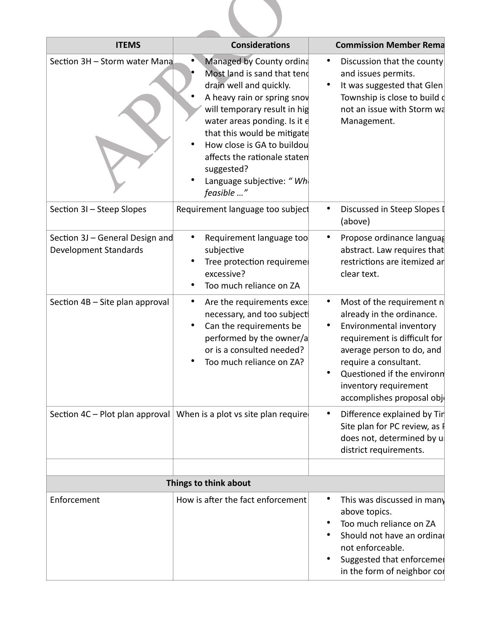| <b>ITEMS</b>                                             | <b>Considerations</b>                                                                                                                                                                                                                                                                                                                   | <b>Commission Member Rema</b>                                                                                                                                                                                                                                                                       |
|----------------------------------------------------------|-----------------------------------------------------------------------------------------------------------------------------------------------------------------------------------------------------------------------------------------------------------------------------------------------------------------------------------------|-----------------------------------------------------------------------------------------------------------------------------------------------------------------------------------------------------------------------------------------------------------------------------------------------------|
| Section 3H - Storm water Mana                            | Managed by County ordina<br>Most land is sand that tend<br>drain well and quickly.<br>A heavy rain or spring snow<br>will temporary result in hig<br>water areas ponding. Is it e<br>that this would be mitigate<br>How close is GA to buildou<br>affects the rationale staten<br>suggested?<br>Language subjective: "Who<br>feasible " | Discussion that the county<br>$\bullet$<br>and issues permits.<br>It was suggested that Glen<br>Township is close to build of<br>not an issue with Storm wa<br>Management.                                                                                                                          |
| Section 3I - Steep Slopes                                | Requirement language too subject                                                                                                                                                                                                                                                                                                        | Discussed in Steep Slopes I<br>(above)                                                                                                                                                                                                                                                              |
| Section 3J - General Design and<br>Development Standards | Requirement language too<br>subjective<br>Tree protection requiremer<br>excessive?<br>Too much reliance on ZA                                                                                                                                                                                                                           | Propose ordinance languag<br>٠<br>abstract. Law requires that<br>restrictions are itemized ar<br>clear text.                                                                                                                                                                                        |
| Section 4B - Site plan approval                          | Are the requirements exce<br>٠<br>necessary, and too subjecti<br>Can the requirements be<br>performed by the owner/a<br>or is a consulted needed?<br>Too much reliance on ZA?                                                                                                                                                           | Most of the requirement n<br>$\bullet$<br>already in the ordinance.<br>Environmental inventory<br>$\bullet$<br>requirement is difficult for<br>average person to do, and<br>require a consultant.<br>Questioned if the environn<br>$\bullet$<br>inventory requirement<br>accomplishes proposal obje |
| Section 4C – Plot plan approval                          | When is a plot vs site plan require                                                                                                                                                                                                                                                                                                     | Difference explained by Tir<br>$\bullet$<br>Site plan for PC review, as I<br>does not, determined by u<br>district requirements.                                                                                                                                                                    |
|                                                          | Things to think about                                                                                                                                                                                                                                                                                                                   |                                                                                                                                                                                                                                                                                                     |
| Enforcement                                              | How is after the fact enforcement                                                                                                                                                                                                                                                                                                       | This was discussed in many<br>$\bullet$<br>above topics.<br>Too much reliance on ZA<br>Should not have an ordinal<br>not enforceable.<br>Suggested that enforcemer<br>$\bullet$<br>in the form of neighbor cor                                                                                      |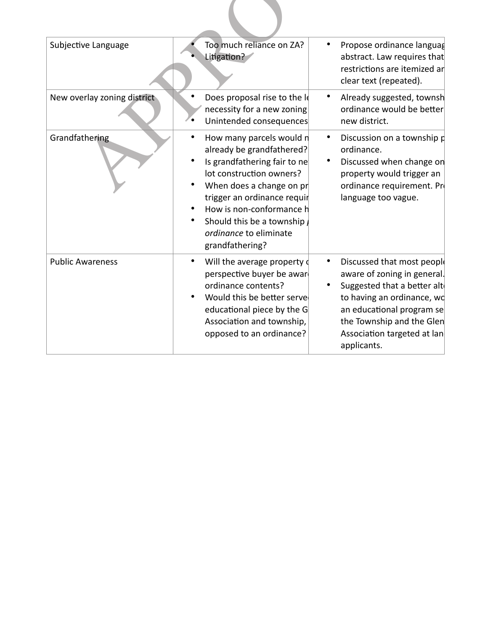| Subjective Language         | Too much reliance on ZA?<br>Litigation?                                                                                                                                                                                                                                                    | Propose ordinance languag<br>abstract. Law requires that<br>restrictions are itemized ar<br>clear text (repeated).                                                                                                             |
|-----------------------------|--------------------------------------------------------------------------------------------------------------------------------------------------------------------------------------------------------------------------------------------------------------------------------------------|--------------------------------------------------------------------------------------------------------------------------------------------------------------------------------------------------------------------------------|
| New overlay zoning district | Does proposal rise to the Id<br>necessity for a new zoning<br>Unintended consequences                                                                                                                                                                                                      | Already suggested, townsh<br>ordinance would be better<br>new district.                                                                                                                                                        |
| Grandfathering              | How many parcels would n<br>already be grandfathered?<br>Is grandfathering fair to ne<br>lot construction owners?<br>When does a change on $pr$<br>trigger an ordinance requir<br>How is non-conformance h<br>Should this be a township $\mu$<br>ordinance to eliminate<br>grandfathering? | Discussion on a township p<br>ordinance.<br>Discussed when change on<br>property would trigger an<br>ordinance requirement. Pr<br>language too vague.                                                                          |
| <b>Public Awareness</b>     | Will the average property of<br>٠<br>perspective buyer be awar<br>ordinance contents?<br>Would this be better serve<br>٠<br>educational piece by the G<br>Association and township,<br>opposed to an ordinance?                                                                            | Discussed that most people<br>aware of zoning in general.<br>Suggested that a better alt<br>to having an ordinance, wo<br>an educational program se<br>the Township and the Glen<br>Association targeted at lan<br>applicants. |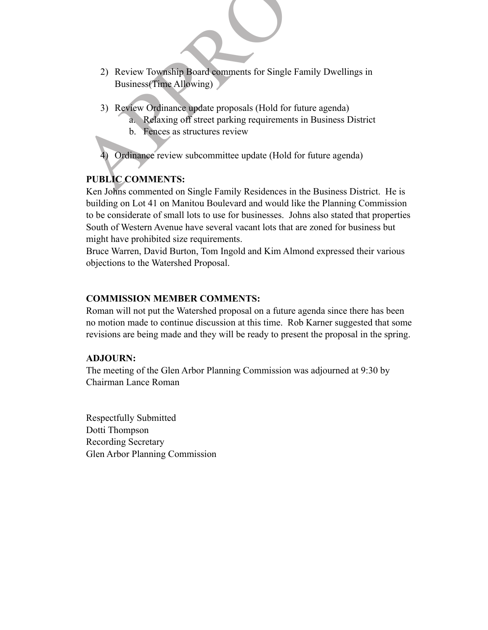- 2) Review Township Board comments for Single Family Dwellings in<br>Business(Time Allowing)<br>3) Review Ordinance update proposals (Hold for future agenda)<br>3) Review Ordinance update proposals (Hold for future agenda)<br>3. Relaxi 2) Review Township Board comments for Single Family Dwellings in Business(Time Allowing)
	- 3) Review Ordinance update proposals (Hold for future agenda)
		- a. Relaxing off street parking requirements in Business District
		- b. Fences as structures review

4) Ordinance review subcommittee update (Hold for future agenda)

# **PUBLIC COMMENTS:**

Ken Johns commented on Single Family Residences in the Business District. He is building on Lot 41 on Manitou Boulevard and would like the Planning Commission to be considerate of small lots to use for businesses. Johns also stated that properties South of Western Avenue have several vacant lots that are zoned for business but might have prohibited size requirements.

Bruce Warren, David Burton, Tom Ingold and Kim Almond expressed their various objections to the Watershed Proposal.

## **COMMISSION MEMBER COMMENTS:**

Roman will not put the Watershed proposal on a future agenda since there has been no motion made to continue discussion at this time. Rob Karner suggested that some revisions are being made and they will be ready to present the proposal in the spring.

## **ADJOURN:**

The meeting of the Glen Arbor Planning Commission was adjourned at 9:30 by Chairman Lance Roman

Respectfully Submitted Dotti Thompson Recording Secretary Glen Arbor Planning Commission